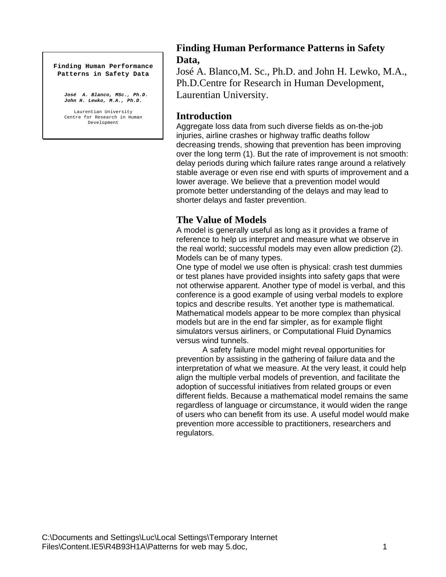#### **Finding Human Performance Patterns in Safety Data**

*José A. Blanco, MSc., Ph.D. John H. Lewko, M.A., Ph.D.*

Laurentian University Centre for Research in Human Development

# **Finding Human Performance Patterns in Safety Data,**

José A. Blanco,M. Sc., Ph.D. and John H. Lewko, M.A., Ph.D.Centre for Research in Human Development, Laurentian University.

## **Introduction**

Aggregate loss data from such diverse fields as on-the-job injuries, airline crashes or highway traffic deaths follow decreasing trends, showing that prevention has been improving over the long term (1). But the rate of improvement is not smooth: delay periods during which failure rates range around a relatively stable average or even rise end with spurts of improvement and a lower average. We believe that a prevention model would promote better understanding of the delays and may lead to shorter delays and faster prevention.

# **The Value of Models**

A model is generally useful as long as it provides a frame of reference to help us interpret and measure what we observe in the real world; successful models may even allow prediction (2). Models can be of many types.

One type of model we use often is physical: crash test dummies or test planes have provided insights into safety gaps that were not otherwise apparent. Another type of model is verbal, and this conference is a good example of using verbal models to explore topics and describe results. Yet another type is mathematical. Mathematical models appear to be more complex than physical models but are in the end far simpler, as for example flight simulators versus airliners, or Computational Fluid Dynamics versus wind tunnels.

A safety failure model might reveal opportunities for prevention by assisting in the gathering of failure data and the interpretation of what we measure. At the very least, it could help align the multiple verbal models of prevention, and facilitate the adoption of successful initiatives from related groups or even different fields. Because a mathematical model remains the same regardless of language or circumstance, it would widen the range of users who can benefit from its use. A useful model would make prevention more accessible to practitioners, researchers and regulators.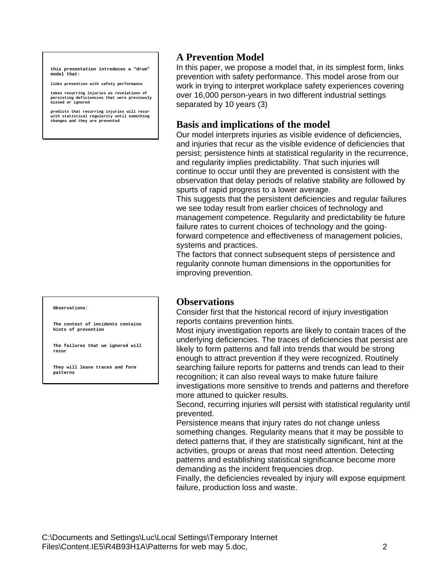**this presentation introduces a "drum" model that:**

**links prevention with safety performance**

**takes recurring injuries as revelations of persisting deficiencies that were previously missed or ignored**

**predicts that recurring injuries will recur with statistical regularity until something changes and they are prevented**

#### **Observations:**

**The context of incidents contains hints of prevention**

**The failures that we ignored will recur**

**They will leave traces and form patterns**

# **A Prevention Model**

In this paper, we propose a model that, in its simplest form, links prevention with safety performance. This model arose from our work in trying to interpret workplace safety experiences covering over 16,000 person-years in two different industrial settings separated by 10 years (3)

### **Basis and implications of the model**

Our model interprets injuries as visible evidence of deficiencies, and injuries that recur as the visible evidence of deficiencies that persist; persistence hints at statistical regularity in the recurrence, and regularity implies predictability. That such injuries will continue to occur until they are prevented is consistent with the observation that delay periods of relative stability are followed by spurts of rapid progress to a lower average.

This suggests that the persistent deficiencies and regular failures we see today result from earlier choices of technology and management competence. Regularity and predictability tie future failure rates to current choices of technology and the goingforward competence and effectiveness of management policies, systems and practices.

The factors that connect subsequent steps of persistence and regularity connote human dimensions in the opportunities for improving prevention.

#### **Observations**

Consider first that the historical record of injury investigation reports contains prevention hints.

Most injury investigation reports are likely to contain traces of the underlying deficiencies. The traces of deficiencies that persist are likely to form patterns and fall into trends that would be strong enough to attract prevention if they were recognized. Routinely searching failure reports for patterns and trends can lead to their recognition; it can also reveal ways to make future failure investigations more sensitive to trends and patterns and therefore more attuned to quicker results.

Second, recurring injuries will persist with statistical regularity until prevented.

Persistence means that injury rates do not change unless something changes. Regularity means that it may be possible to detect patterns that, if they are statistically significant, hint at the activities, groups or areas that most need attention. Detecting patterns and establishing statistical significance become more demanding as the incident frequencies drop.

Finally, the deficiencies revealed by injury will expose equipment failure, production loss and waste.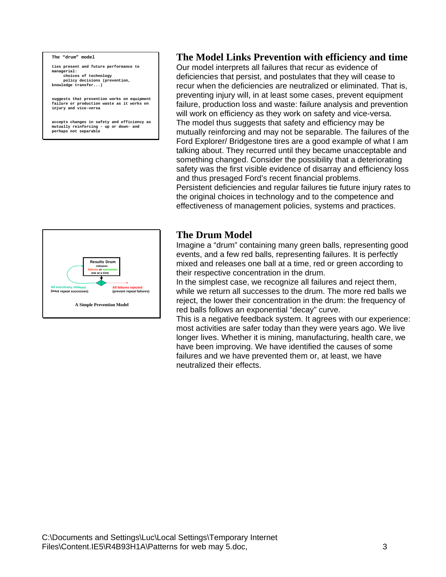#### **The "drum" model**

**ties present and future performance to managerial: choices of technology policy decisions (prevention, knowledge transfer...)**

**suggests that prevention works on equipment failure or production waste as it works on injury and vice-versa**

**accepts changes in safety and efficiency as mutually reinforcing - up or down- and perhaps not separable**

# **The Model Links Prevention with efficiency and time**

Our model interprets all failures that recur as evidence of deficiencies that persist, and postulates that they will cease to recur when the deficiencies are neutralized or eliminated. That is, preventing injury will, in at least some cases, prevent equipment failure, production loss and waste: failure analysis and prevention will work on efficiency as they work on safety and vice-versa. The model thus suggests that safety and efficiency may be mutually reinforcing and may not be separable. The failures of the Ford Explorer/ Bridgestone tires are a good example of what I am talking about. They recurred until they became unacceptable and something changed. Consider the possibility that a deteriorating safety was the first visible evidence of disarray and efficiency loss and thus presaged Ford's recent financial problems. Persistent deficiencies and regular failures tie future injury rates to the original choices in technology and to the competence and effectiveness of management policies, systems and practices.



#### **The Drum Model**

Imagine a "drum" containing many green balls, representing good events, and a few red balls, representing failures. It is perfectly mixed and releases one ball at a time, red or green according to their respective concentration in the drum.

In the simplest case, we recognize all failures and reject them, while we return all successes to the drum. The more red balls we reject, the lower their concentration in the drum: the frequency of red balls follows an exponential "decay" curve.

This is a negative feedback system. It agrees with our experience: most activities are safer today than they were years ago. We live longer lives. Whether it is mining, manufacturing, health care, we have been improving. We have identified the causes of some failures and we have prevented them or, at least, we have neutralized their effects.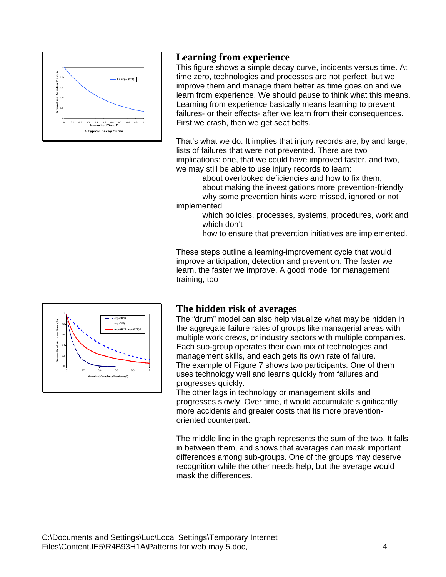

# **Learning from experience**

This figure shows a simple decay curve, incidents versus time. At time zero, technologies and processes are not perfect, but we improve them and manage them better as time goes on and we learn from experience. We should pause to think what this means. Learning from experience basically means learning to prevent failures- or their effects- after we learn from their consequences. First we crash, then we get seat belts.

That's what we do. It implies that injury records are, by and large, lists of failures that were not prevented. There are two implications: one, that we could have improved faster, and two, we may still be able to use injury records to learn:

about overlooked deficiencies and how to fix them, about making the investigations more prevention-friendly why some prevention hints were missed, ignored or not

implemented

- which policies, processes, systems, procedures, work and which don't
- how to ensure that prevention initiatives are implemented.

These steps outline a learning-improvement cycle that would improve anticipation, detection and prevention. The faster we learn, the faster we improve. A good model for management training, too



# **The hidden risk of averages**

The "drum" model can also help visualize what may be hidden in the aggregate failure rates of groups like managerial areas with multiple work crews, or industry sectors with multiple companies. Each sub-group operates their own mix of technologies and management skills, and each gets its own rate of failure. The example of Figure 7 shows two participants. One of them uses technology well and learns quickly from failures and progresses quickly.

The other lags in technology or management skills and progresses slowly. Over time, it would accumulate significantly more accidents and greater costs that its more preventionoriented counterpart.

The middle line in the graph represents the sum of the two. It falls in between them, and shows that averages can mask important differences among sub-groups. One of the groups may deserve recognition while the other needs help, but the average would mask the differences.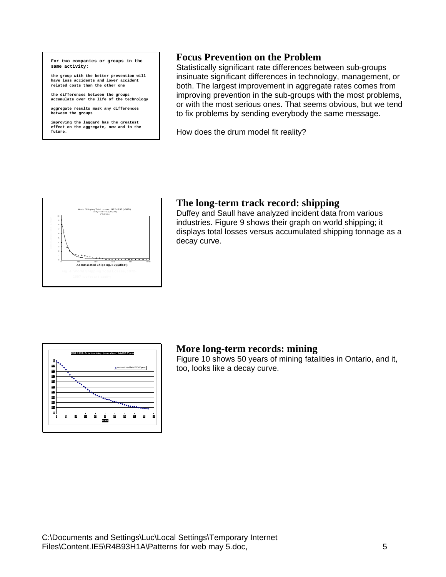**For two companies or groups in the same activity:**

**the group with the better prevention will have less accidents and lower accident related costs than the other one**

**the differences between the groups accumulate over the life of the technology**

**aggregate results mask any differences between the groups**

**improving the laggard has the greatest effect on the aggregate, now and in the future.**

## **Focus Prevention on the Problem**

Statistically significant rate differences between sub-groups insinuate significant differences in technology, management, or both. The largest improvement in aggregate rates comes from improving prevention in the sub-groups with the most problems, or with the most serious ones. That seems obvious, but we tend to fix problems by sending everybody the same message.

How does the drum model fit reality?



## **The long-term track record: shipping**

Duffey and Saull have analyzed incident data from various industries. Figure 9 shows their graph on world shipping; it displays total losses versus accumulated shipping tonnage as a decay curve.



### **More long-term records: mining**

Figure 10 shows 50 years of mining fatalities in Ontario, and it, too, looks like a decay curve.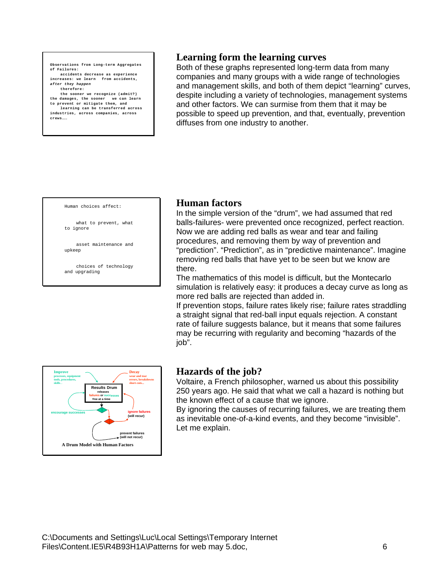**Observations from Long-term Aggregates of Failures: accidents decrease as experience increases: we learn from accidents,** *after they happen* **therefore: the sooner we recognize (admit?) the damages, the sooner we can learn to prevent or mitigate them, and**

**learning can be transferred across industries, across companies, across crews….**

## **Learning form the learning curves**

Both of these graphs represented long-term data from many companies and many groups with a wide range of technologies and management skills, and both of them depict "learning" curves, despite including a variety of technologies, management systems and other factors. We can surmise from them that it may be possible to speed up prevention, and that, eventually, prevention diffuses from one industry to another.



what to prevent, what to ignore

asset maintenance and upkeep

choices of technology and upgrading

### **Human factors**

In the simple version of the "drum", we had assumed that red balls-failures- were prevented once recognized, perfect reaction. Now we are adding red balls as wear and tear and failing procedures, and removing them by way of prevention and "prediction". "Prediction", as in "predictive maintenance". Imagine removing red balls that have yet to be seen but we know are there.

The mathematics of this model is difficult, but the Montecarlo simulation is relatively easy: it produces a decay curve as long as more red balls are rejected than added in.

If prevention stops, failure rates likely rise; failure rates straddling a straight signal that red-ball input equals rejection. A constant rate of failure suggests balance, but it means that some failures may be recurring with regularity and becoming "hazards of the job".



## **Hazards of the job?**

Voltaire, a French philosopher, warned us about this possibility 250 years ago. He said that what we call a hazard is nothing but the known effect of a cause that we ignore.

By ignoring the causes of recurring failures, we are treating them as inevitable one-of-a-kind events, and they become "invisible". Let me explain.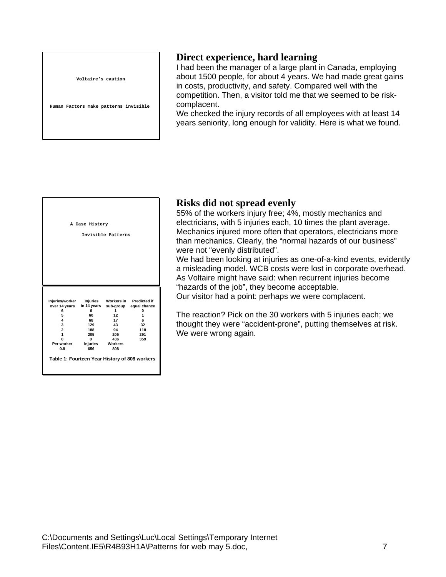**Voltaire's caution** 

**Human Factors make patterns invisible**

## **Direct experience, hard learning**

I had been the manager of a large plant in Canada, employing about 1500 people, for about 4 years. We had made great gains in costs, productivity, and safety. Compared well with the competition. Then, a visitor told me that we seemed to be riskcomplacent.

We checked the injury records of all employees with at least 14 years seniority, long enough for validity. Here is what we found.



### **Risks did not spread evenly**

55% of the workers injury free; 4%, mostly mechanics and electricians, with 5 injuries each, 10 times the plant average. Mechanics injured more often that operators, electricians more than mechanics. Clearly, the "normal hazards of our business" were not "evenly distributed".

We had been looking at injuries as one-of-a-kind events, evidently a misleading model. WCB costs were lost in corporate overhead. As Voltaire might have said: when recurrent injuries become "hazards of the job", they become acceptable. Our visitor had a point: perhaps we were complacent.

The reaction? Pick on the 30 workers with 5 injuries each; we thought they were "accident-prone", putting themselves at risk. We were wrong again.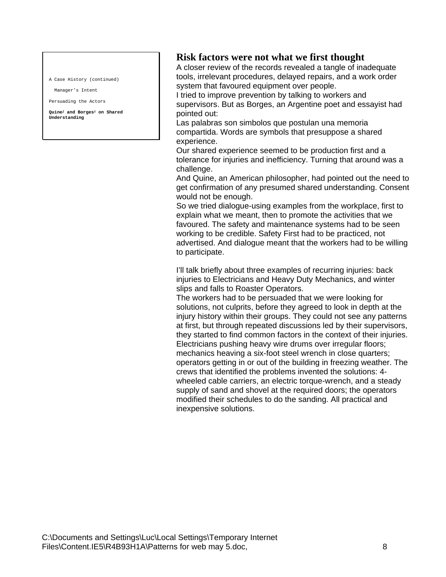A Case History (continued)

Manager's Intent

Persuading the Actors

**Quine***<sup>j</sup>* **and Borges***<sup>i</sup>* **on Shared Understanding**

## **Risk factors were not what we first thought**

A closer review of the records revealed a tangle of inadequate tools, irrelevant procedures, delayed repairs, and a work order system that favoured equipment over people.

I tried to improve prevention by talking to workers and supervisors. But as Borges, an Argentine poet and essayist had pointed out:

Las palabras son simbolos que postulan una memoria compartida. Words are symbols that presuppose a shared experience.

Our shared experience seemed to be production first and a tolerance for injuries and inefficiency. Turning that around was a challenge.

And Quine, an American philosopher, had pointed out the need to get confirmation of any presumed shared understanding. Consent would not be enough.

So we tried dialogue-using examples from the workplace, first to explain what we meant, then to promote the activities that we favoured. The safety and maintenance systems had to be seen working to be credible. Safety First had to be practiced, not advertised. And dialogue meant that the workers had to be willing to participate.

I'll talk briefly about three examples of recurring injuries: back injuries to Electricians and Heavy Duty Mechanics, and winter slips and falls to Roaster Operators.

The workers had to be persuaded that we were looking for solutions, not culprits, before they agreed to look in depth at the injury history within their groups. They could not see any patterns at first, but through repeated discussions led by their supervisors, they started to find common factors in the context of their injuries. Electricians pushing heavy wire drums over irregular floors; mechanics heaving a six-foot steel wrench in close quarters; operators getting in or out of the building in freezing weather. The crews that identified the problems invented the solutions: 4 wheeled cable carriers, an electric torque-wrench, and a steady supply of sand and shovel at the required doors; the operators modified their schedules to do the sanding. All practical and inexpensive solutions.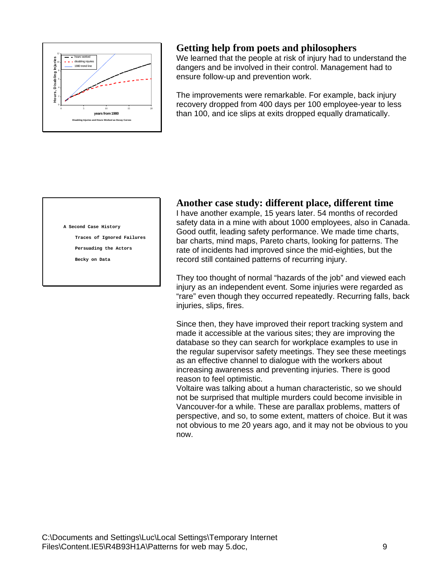

## **Getting help from poets and philosophers**

We learned that the people at risk of injury had to understand the dangers and be involved in their control. Management had to ensure follow-up and prevention work.

The improvements were remarkable. For example, back injury recovery dropped from 400 days per 100 employee-year to less than 100, and ice slips at exits dropped equally dramatically.

#### **A Second Case History**

**Traces of Ignored Failures**

**Persuading the Actors**

**Becky on Data**

#### **Another case study: different place, different time**

I have another example, 15 years later. 54 months of recorded safety data in a mine with about 1000 employees, also in Canada. Good outfit, leading safety performance. We made time charts, bar charts, mind maps, Pareto charts, looking for patterns. The rate of incidents had improved since the mid-eighties, but the record still contained patterns of recurring injury.

They too thought of normal "hazards of the job" and viewed each injury as an independent event. Some injuries were regarded as "rare" even though they occurred repeatedly. Recurring falls, back injuries, slips, fires.

Since then, they have improved their report tracking system and made it accessible at the various sites; they are improving the database so they can search for workplace examples to use in the regular supervisor safety meetings. They see these meetings as an effective channel to dialogue with the workers about increasing awareness and preventing injuries. There is good reason to feel optimistic.

Voltaire was talking about a human characteristic, so we should not be surprised that multiple murders could become invisible in Vancouver-for a while. These are parallax problems, matters of perspective, and so, to some extent, matters of choice. But it was not obvious to me 20 years ago, and it may not be obvious to you now.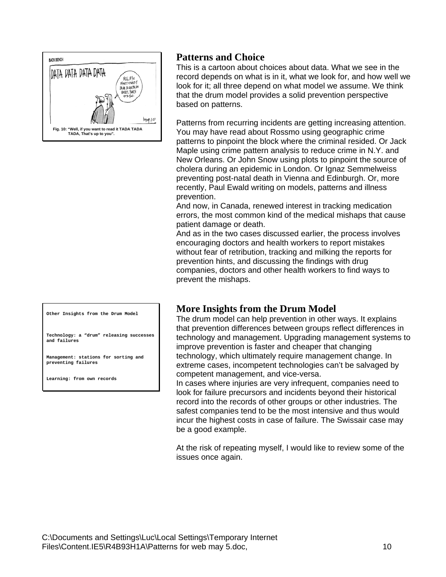

# **Patterns and Choice**

This is a cartoon about choices about data. What we see in the record depends on what is in it, what we look for, and how well we look for it; all three depend on what model we assume. We think that the drum model provides a solid prevention perspective based on patterns.

Patterns from recurring incidents are getting increasing attention. You may have read about Rossmo using geographic crime patterns to pinpoint the block where the criminal resided. Or Jack Maple using crime pattern analysis to reduce crime in N.Y. and New Orleans. Or John Snow using plots to pinpoint the source of cholera during an epidemic in London. Or Ignaz Semmelweiss preventing post-natal death in Vienna and Edinburgh. Or, more recently, Paul Ewald writing on models, patterns and illness prevention.

And now, in Canada, renewed interest in tracking medication errors, the most common kind of the medical mishaps that cause patient damage or death.

And as in the two cases discussed earlier, the process involves encouraging doctors and health workers to report mistakes without fear of retribution, tracking and milking the reports for prevention hints, and discussing the findings with drug companies, doctors and other health workers to find ways to prevent the mishaps.

**Other Insights from the Drum Model**

**Technology: a "drum" releasing successes and failures**

**Management: stations for sorting and preventing failures**

**Learning: from own records**

### **More Insights from the Drum Model**

The drum model can help prevention in other ways. It explains that prevention differences between groups reflect differences in technology and management. Upgrading management systems to improve prevention is faster and cheaper that changing technology, which ultimately require management change. In extreme cases, incompetent technologies can't be salvaged by competent management, and vice-versa.

In cases where injuries are very infrequent, companies need to look for failure precursors and incidents beyond their historical record into the records of other groups or other industries. The safest companies tend to be the most intensive and thus would incur the highest costs in case of failure. The Swissair case may be a good example.

At the risk of repeating myself, I would like to review some of the issues once again.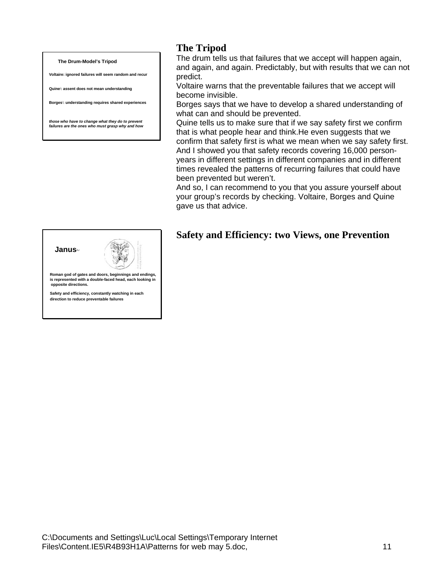#### **The Drum-Model's Tripod**

**Voltaire: ignored failures will seem random and recur**

**Quine***<sup>j</sup>* **: assent does not mean understanding**

**Borges***<sup>i</sup>* **: understanding requires shared experiences**

*those who have to change what they do to prevent failures are the ones who must grasp why and how*

## **The Tripod**

The drum tells us that failures that we accept will happen again, and again, and again. Predictably, but with results that we can not predict.

Voltaire warns that the preventable failures that we accept will become invisible.

Borges says that we have to develop a shared understanding of what can and should be prevented.

Quine tells us to make sure that if we say safety first we confirm that is what people hear and think.He even suggests that we confirm that safety first is what we mean when we say safety first. And I showed you that safety records covering 16,000 personyears in different settings in different companies and in different times revealed the patterns of recurring failures that could have been prevented but weren't.

And so, I can recommend to you that you assure yourself about your group's records by checking. Voltaire, Borges and Quine gave us that advice.

# **Safety and Efficiency: two Views, one Prevention**



**direction to reduce preventable failures**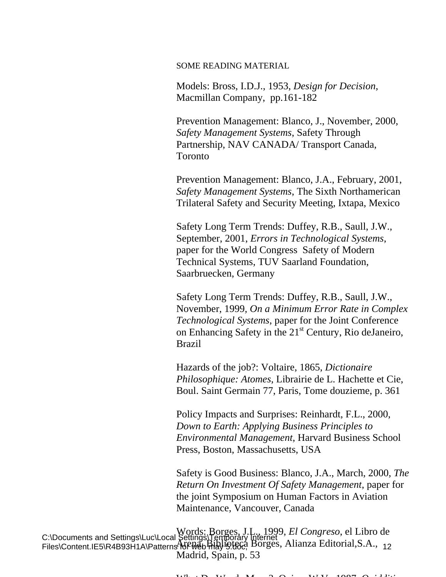SOME READING MATERIAL

Models: Bross, I.D.J., 1953, *Design for Decision*, Macmillan Company, pp.161-182

Prevention Management: Blanco, J., November, 2000, *Safety Management Systems*, Safety Through Partnership, NAV CANADA/ Transport Canada, Toronto

Prevention Management: Blanco, J.A., February, 2001, *Safety Management Systems*, The Sixth Northamerican Trilateral Safety and Security Meeting, Ixtapa, Mexico

Safety Long Term Trends: Duffey, R.B., Saull, J.W., September, 2001, *Errors in Technological Systems*, paper for the World Congress Safety of Modern Technical Systems, TUV Saarland Foundation, Saarbruecken, Germany

Safety Long Term Trends: Duffey, R.B., Saull, J.W., November, 1999*, On a Minimum Error Rate in Complex Technological Systems*, paper for the Joint Conference on Enhancing Safety in the  $21<sup>st</sup>$  Century, Rio deJaneiro, Brazil

Hazards of the job?: Voltaire, 1865, *Dictionaire Philosophique: Atomes*, Librairie de L. Hachette et Cie, Boul. Saint Germain 77, Paris, Tome douzieme, p. 361

Policy Impacts and Surprises: Reinhardt, F.L., 2000, *Down to Earth: Applying Business Principles to Environmental Management*, Harvard Business School Press, Boston, Massachusetts, USA

Safety is Good Business: Blanco, J.A., March, 2000, *The Return On Investment Of Safety Management*, paper for the joint Symposium on Human Factors in Aviation Maintenance, Vancouver, Canada

C:\Documents and Settings\Luc\Local Settings\Temporary Internet Files\Content.IE5\R4B93H1A\Patterns for web may 15.666, DOrges, Affairza Editorial,S.A., 12 Words: Borges, J.L., 1999, *El Congreso*, el Libro de Arena, Biblioteca Borges, Alianza Editorial,S.A., Madrid, Spain, p. 53

 $W_1$  to  $W_2$  i  $M$  and  $Q$  is  $W_1$  if  $V_2$  1997  $Q_2$  if  $W_3$